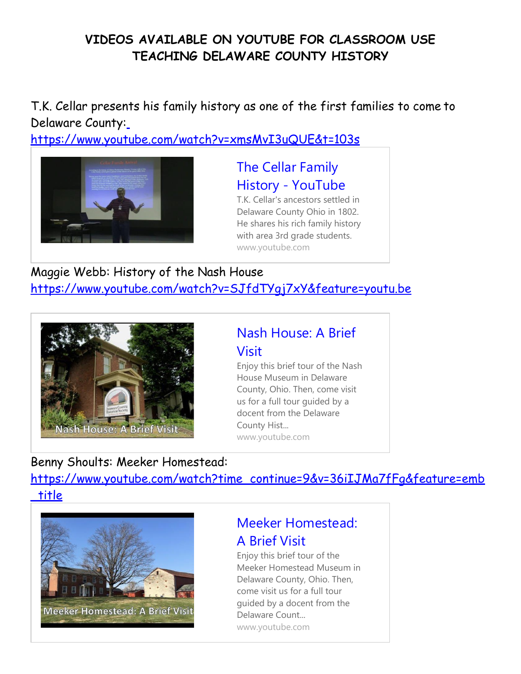#### **VIDEOS AVAILABLE ON YOUTUBE FOR CLASSROOM USE TEACHING DELAWARE COUNTY HISTORY**

T.K. Cellar presents his family history as one of the first families to come to Delaware County[:](https://www.youtube.com/watch?v=xmsMvI3uQUE&t=103s)

<https://www.youtube.com/watch?v=xmsMvI3uQUE&t=103s>



[The Cellar Family](https://www.youtube.com/watch?v=xmsMvI3uQUE&t=103s) History - [YouTube](https://www.youtube.com/watch?v=xmsMvI3uQUE&t=103s)

T.K. Cellar's ancestors settled in Delaware County Ohio in 1802. He shares his rich family history with area 3rd grade student[s.](http://www.youtube.com/) [www.youtube.com](http://www.youtube.com/)

Maggie Webb: History of the Nash House <https://www.youtube.com/watch?v=SJfdTYgj7xY&feature=youtu.be>



## [Nash House: A Brief](https://www.youtube.com/watch?v=SJfdTYgj7xY&feature=youtu.be) [Visit](https://www.youtube.com/watch?v=SJfdTYgj7xY&feature=youtu.be)

Enjoy this brief tour of the Nash House Museum in Delaware County, Ohio. Then, come visit us for a full tour guided by a docent from the Delaware County Hist... [www.youtube.com](http://www.youtube.com/)

## Benny Shoults: Meeker Homestead:

[https://www.youtube.com/watch?time\\_continue=9&v=36iIJMa7fFg&feature=emb](https://www.youtube.com/watch?time_continue=9&v=36iIJMa7fFg&feature=emb_title) [\\_title](https://www.youtube.com/watch?time_continue=9&v=36iIJMa7fFg&feature=emb_title)



## [Meeker Homestead:](https://www.youtube.com/watch?time_continue=9&v=36iIJMa7fFg&feature=emb_title) [A Brief Visit](https://www.youtube.com/watch?time_continue=9&v=36iIJMa7fFg&feature=emb_title)

Enjoy this brief tour of the Meeker Homestead Museum in Delaware County, Ohio. Then, come visit us for a full tour guided by a docent from the Delaware Count... [www.youtube.com](http://www.youtube.com/)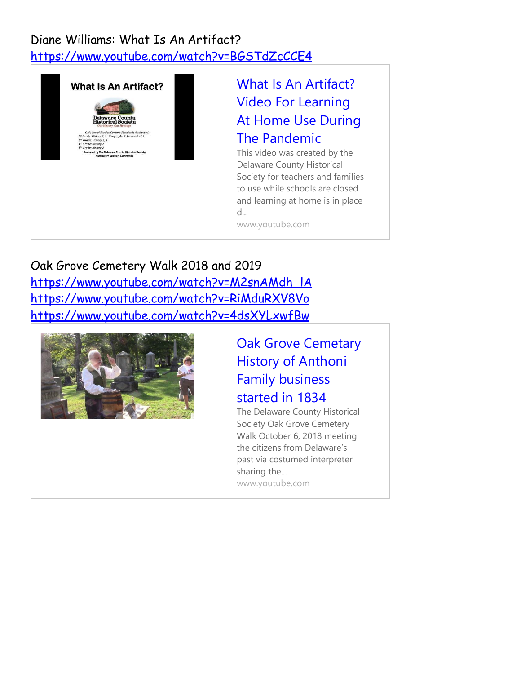#### Diane Williams: What Is An Artifact? <https://www.youtube.com/watch?v=BGSTdZcCCE4>



# [What Is An Artifact?](https://www.youtube.com/watch?v=BGSTdZcCCE4) [Video For Learning](https://www.youtube.com/watch?v=BGSTdZcCCE4) [At Home Use During](https://www.youtube.com/watch?v=BGSTdZcCCE4) [The Pandemic](https://www.youtube.com/watch?v=BGSTdZcCCE4)

This video was created by the Delaware County Historical Society for teachers and families to use while schools are closed and learning at home is in place d...

[www.youtube.com](http://www.youtube.com/)

Oak Grove Cemetery Walk 2018 and 2019 [https://www.youtube.com/watch?v=M2snAMdh\\_lA](https://www.youtube.com/watch?v=M2snAMdh_lA) <https://www.youtube.com/watch?v=RiMduRXV8Vo> <https://www.youtube.com/watch?v=4dsXYLxwfBw>



[Oak Grove Cemetary](https://www.youtube.com/watch?v=4dsXYLxwfBw) [History of Anthoni](https://www.youtube.com/watch?v=4dsXYLxwfBw) [Family business](https://www.youtube.com/watch?v=4dsXYLxwfBw) [started in 1834](https://www.youtube.com/watch?v=4dsXYLxwfBw)

The Delaware County Historical Society Oak Grove Cemetery Walk October 6, 2018 meeting the citizens from Delaware's past via costumed interpreter sharing the... [www.youtube.com](http://www.youtube.com/)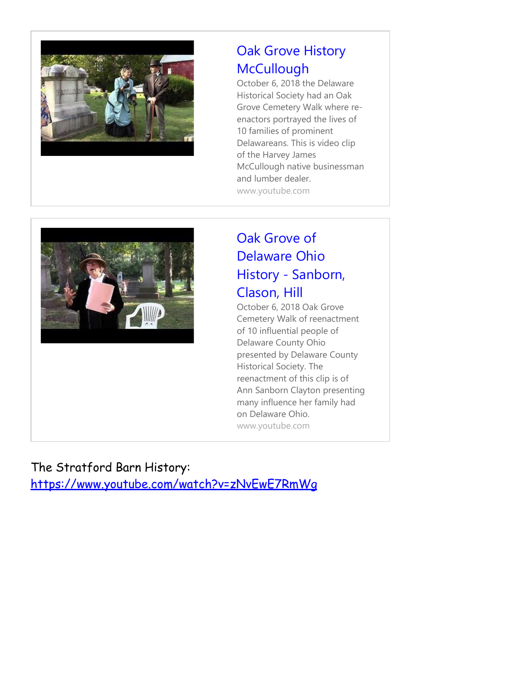

# [Oak Grove History](https://www.youtube.com/watch?v=RiMduRXV8Vo) **[McCullough](https://www.youtube.com/watch?v=RiMduRXV8Vo)**

October 6, 2018 the Delaware Historical Society had an Oak Grove Cemetery Walk where reenactors portrayed the lives of 10 families of prominent Delawareans. This is video clip of the Harvey James McCullough native businessman and lumber dealer. [www.youtube.com](http://www.youtube.com/)



# [Oak Grove of](https://www.youtube.com/watch?v=M2snAMdh_lA) [Delaware Ohio](https://www.youtube.com/watch?v=M2snAMdh_lA) History - [Sanborn,](https://www.youtube.com/watch?v=M2snAMdh_lA) [Clason, Hill](https://www.youtube.com/watch?v=M2snAMdh_lA)

October 6, 2018 Oak Grove Cemetery Walk of reenactment of 10 influential people of Delaware County Ohio presented by Delaware County Historical Society. The reenactment of this clip is of Ann Sanborn Clayton presenting many influence her family had on Delaware Ohio. [www.youtube.com](http://www.youtube.com/)

The Stratford Barn History: <https://www.youtube.com/watch?v=zNvEwE7RmWg>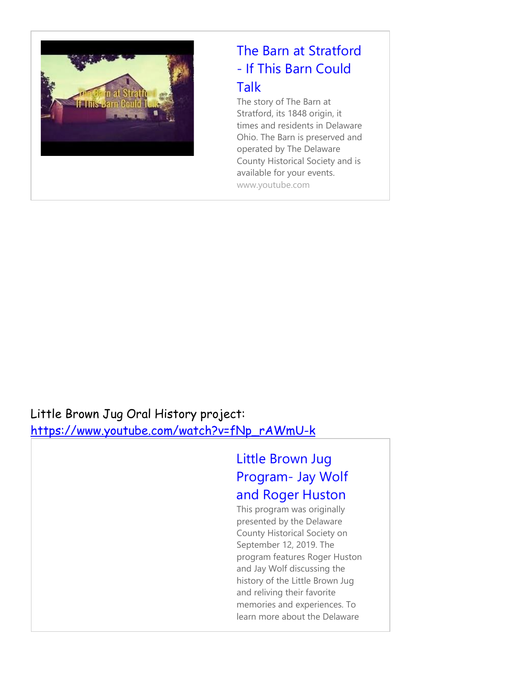

# [The Barn at Stratford](https://www.youtube.com/watch?v=zNvEwE7RmWg) - [If This Barn Could](https://www.youtube.com/watch?v=zNvEwE7RmWg) [Talk](https://www.youtube.com/watch?v=zNvEwE7RmWg)

The story of The Barn at Stratford, its 1848 origin, it times and residents in Delaware Ohio. The Barn is preserved and operated by The Delaware County Historical Society and is available for your events. [www.youtube.com](http://www.youtube.com/)

## Little Brown Jug Oral History project: [https://www.youtube.com/watch?v=fNp\\_rAWmU-k](https://www.youtube.com/watch?v=fNp_rAWmU-k)

# [Little Brown Jug](https://www.youtube.com/watch?v=fNp_rAWmU-k) [Program-](https://www.youtube.com/watch?v=fNp_rAWmU-k) Jay Wolf [and Roger Huston](https://www.youtube.com/watch?v=fNp_rAWmU-k)

This program was originally presented by the Delaware County Historical Society on September 12, 2019. The program features Roger Huston and Jay Wolf discussing the history of the Little Brown Jug and reliving their favorite memories and experiences. To learn more about the Delaware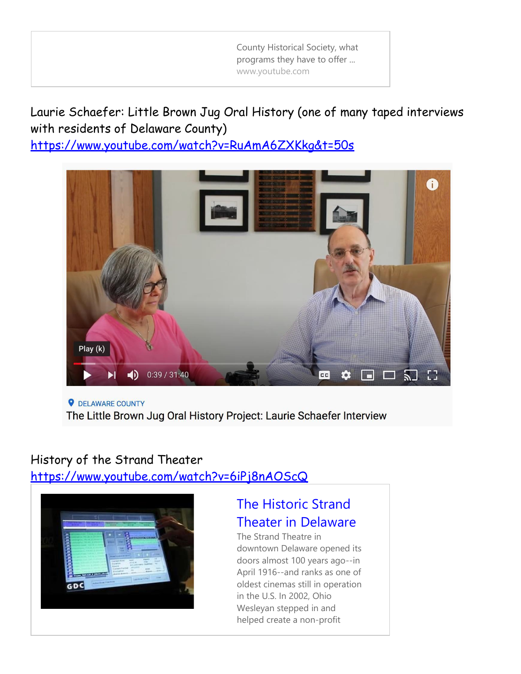County Historical Society, what programs they have to offer ... [www.youtube.com](http://www.youtube.com/)

Laurie Schaefer: Little Brown Jug Oral History (one of many taped interviews with residents of Delaware County)

<https://www.youtube.com/watch?v=RuAmA6ZXKkg&t=50s>



**Q** DELAWARE COUNTY The Little Brown Jug Oral History Project: Laurie Schaefer Interview

#### History of the Strand Theater <https://www.youtube.com/watch?v=6iPj8nAOScQ>



## [The Historic Strand](https://www.youtube.com/watch?v=6iPj8nAOScQ) [Theater in Delaware](https://www.youtube.com/watch?v=6iPj8nAOScQ)

The Strand Theatre in downtown Delaware opened its doors almost 100 years ago--in April 1916--and ranks as one of oldest cinemas still in operation in the U.S. In 2002, Ohio Wesleyan stepped in and helped create a non-profit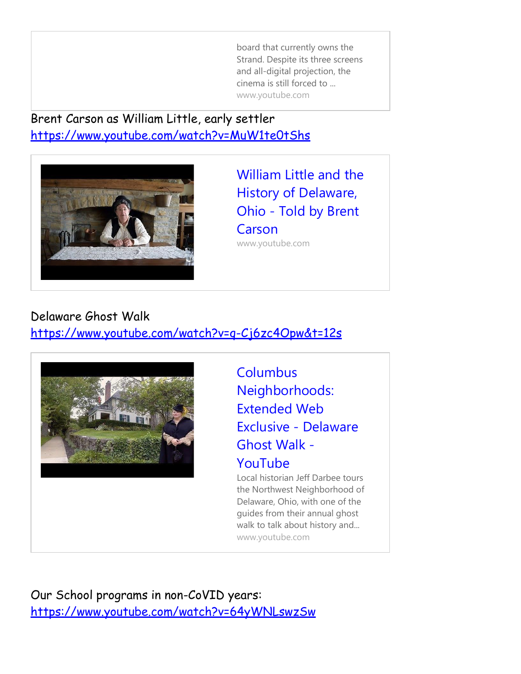board that currently owns the Strand. Despite its three screens and all-digital projection, the cinema is still forced to ... [www.youtube.com](http://www.youtube.com/)

Brent Carson as William Little, early settler <https://www.youtube.com/watch?v=MuW1te0tShs>



[William Little and the](https://www.youtube.com/watch?v=MuW1te0tShs) [History of Delaware,](https://www.youtube.com/watch?v=MuW1te0tShs) Ohio - [Told by Brent](https://www.youtube.com/watch?v=MuW1te0tShs) **[Carson](https://www.youtube.com/watch?v=MuW1te0tShs)** [www.youtube.com](http://www.youtube.com/)

#### Delaware Ghost Walk

<https://www.youtube.com/watch?v=q-Cj6zc4Opw&t=12s>



**[Columbus](https://www.youtube.com/watch?v=q-Cj6zc4Opw&t=12s)** [Neighborhoods:](https://www.youtube.com/watch?v=q-Cj6zc4Opw&t=12s) [Extended Web](https://www.youtube.com/watch?v=q-Cj6zc4Opw&t=12s) [Exclusive -](https://www.youtube.com/watch?v=q-Cj6zc4Opw&t=12s) Delaware [Ghost Walk -](https://www.youtube.com/watch?v=q-Cj6zc4Opw&t=12s) [YouTube](https://www.youtube.com/watch?v=q-Cj6zc4Opw&t=12s)

Local historian Jeff Darbee tours the Northwest Neighborhood of Delaware, Ohio, with one of the guides from their annual ghost walk to talk about history and... [www.youtube.com](http://www.youtube.com/)

Our School programs in non-CoVID years: <https://www.youtube.com/watch?v=64yWNLswzSw>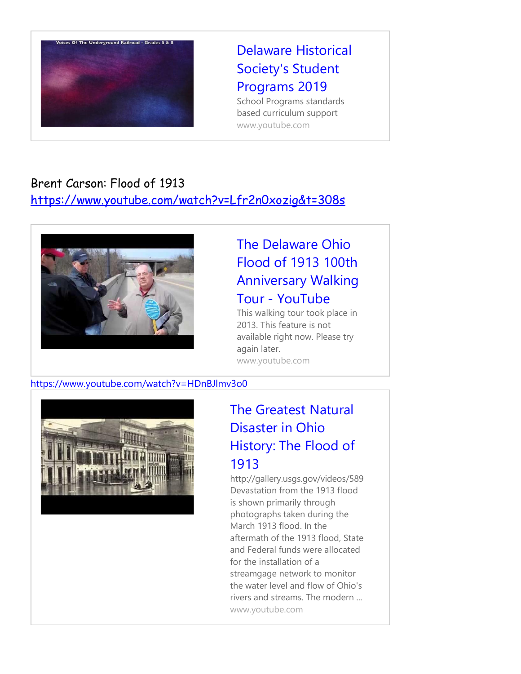

# [Delaware Historical](https://www.youtube.com/watch?v=64yWNLswzSw) [Society's Student](https://www.youtube.com/watch?v=64yWNLswzSw) [Programs 2019](https://www.youtube.com/watch?v=64yWNLswzSw)

School Programs standards based curriculum support [www.youtube.com](http://www.youtube.com/)

#### Brent Carson: Flood of 1913

<https://www.youtube.com/watch?v=Lfr2n0xozig&t=308s>



## [The Delaware Ohio](https://www.youtube.com/watch?v=Lfr2n0xozig&t=308s) [Flood of 1913 100th](https://www.youtube.com/watch?v=Lfr2n0xozig&t=308s) [Anniversary Walking](https://www.youtube.com/watch?v=Lfr2n0xozig&t=308s) Tour - [YouTube](https://www.youtube.com/watch?v=Lfr2n0xozig&t=308s)

This walking tour took place in 2013. This feature is not available right now. Please try again later. [www.youtube.com](http://www.youtube.com/)

#### <https://www.youtube.com/watch?v=HDnBJlmv3o0>



## [The Greatest Natural](https://www.youtube.com/watch?v=HDnBJlmv3o0) [Disaster in Ohio](https://www.youtube.com/watch?v=HDnBJlmv3o0) [History: The Flood of](https://www.youtube.com/watch?v=HDnBJlmv3o0) [1913](https://www.youtube.com/watch?v=HDnBJlmv3o0)

<http://gallery.usgs.gov/videos/589> Devastation from the 1913 flood is shown primarily through photographs taken during the March 1913 flood. In the aftermath of the 1913 flood, State and Federal funds were allocated for the installation of a streamgage network to monitor the water level and flow of Ohio's rivers and streams. The modern ... [www.youtube.com](http://www.youtube.com/)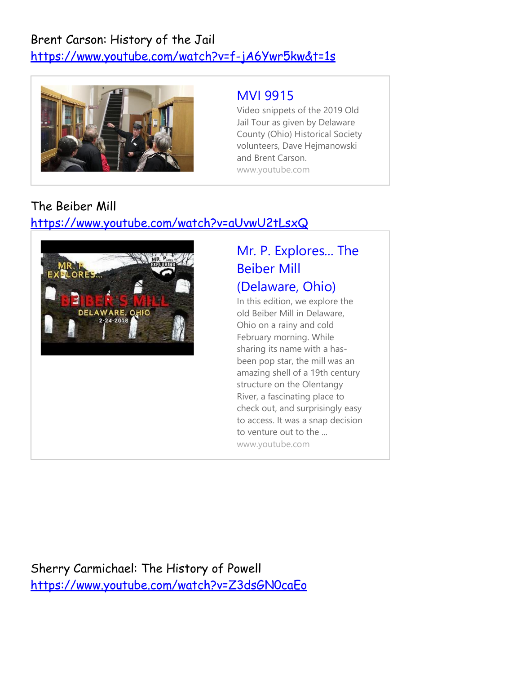## Brent Carson: History of the Jail <https://www.youtube.com/watch?v=f-jA6Ywr5kw&t=1s>



## [MVI 9915](https://www.youtube.com/watch?v=f-jA6Ywr5kw&t=1s)

Video snippets of the 2019 Old Jail Tour as given by Delaware County (Ohio) Historical Society volunteers, Dave Hejmanowski and Brent Carson. [www.youtube.com](http://www.youtube.com/)

## The Beiber Mill

#### <https://www.youtube.com/watch?v=aUvwU2tLsxQ>



# [Mr. P. Explores... The](https://www.youtube.com/watch?v=aUvwU2tLsxQ) [Beiber Mill](https://www.youtube.com/watch?v=aUvwU2tLsxQ)

## [\(Delaware, Ohio\)](https://www.youtube.com/watch?v=aUvwU2tLsxQ)

In this edition, we explore the old Beiber Mill in Delaware, Ohio on a rainy and cold February morning. While sharing its name with a hasbeen pop star, the mill was an amazing shell of a 19th century structure on the Olentangy River, a fascinating place to check out, and surprisingly easy to access. It was a snap decision to venture out to the ... [www.youtube.com](http://www.youtube.com/)

Sherry Carmichael: The History of Powell <https://www.youtube.com/watch?v=Z3dsGN0caEo>